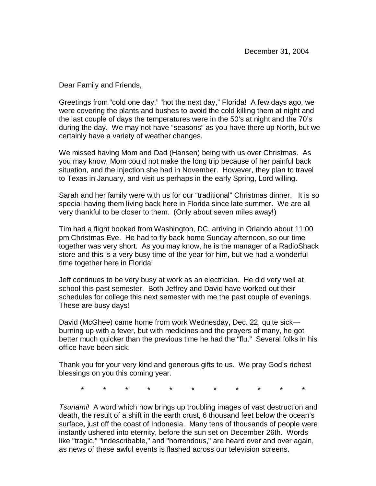Dear Family and Friends,

Greetings from "cold one day," "hot the next day," Florida! A few days ago, we were covering the plants and bushes to avoid the cold killing them at night and the last couple of days the temperatures were in the 50's at night and the 70's during the day. We may not have "seasons" as you have there up North, but we certainly have a variety of weather changes.

We missed having Mom and Dad (Hansen) being with us over Christmas. As you may know, Mom could not make the long trip because of her painful back situation, and the injection she had in November. However, they plan to travel to Texas in January, and visit us perhaps in the early Spring, Lord willing.

Sarah and her family were with us for our "traditional" Christmas dinner. It is so special having them living back here in Florida since late summer. We are all very thankful to be closer to them. (Only about seven miles away!)

Tim had a flight booked from Washington, DC, arriving in Orlando about 11:00 pm Christmas Eve. He had to fly back home Sunday afternoon, so our time together was very short. As you may know, he is the manager of a RadioShack store and this is a very busy time of the year for him, but we had a wonderful time together here in Florida!

Jeff continues to be very busy at work as an electrician. He did very well at school this past semester. Both Jeffrey and David have worked out their schedules for college this next semester with me the past couple of evenings. These are busy days!

David (McGhee) came home from work Wednesday, Dec. 22, quite sick burning up with a fever, but with medicines and the prayers of many, he got better much quicker than the previous time he had the "flu." Several folks in his office have been sick.

Thank you for your very kind and generous gifts to us. We pray God's richest blessings on you this coming year.

\* \* \* \* \* \* \* \* \* \* \*

Tsunami! A word which now brings up troubling images of vast destruction and death, the result of a shift in the earth crust, 6 thousand feet below the ocean's surface, just off the coast of Indonesia. Many tens of thousands of people were instantly ushered into eternity, before the sun set on December 26th. Words like "tragic," "indescribable," and "horrendous," are heard over and over again, as news of these awful events is flashed across our television screens.